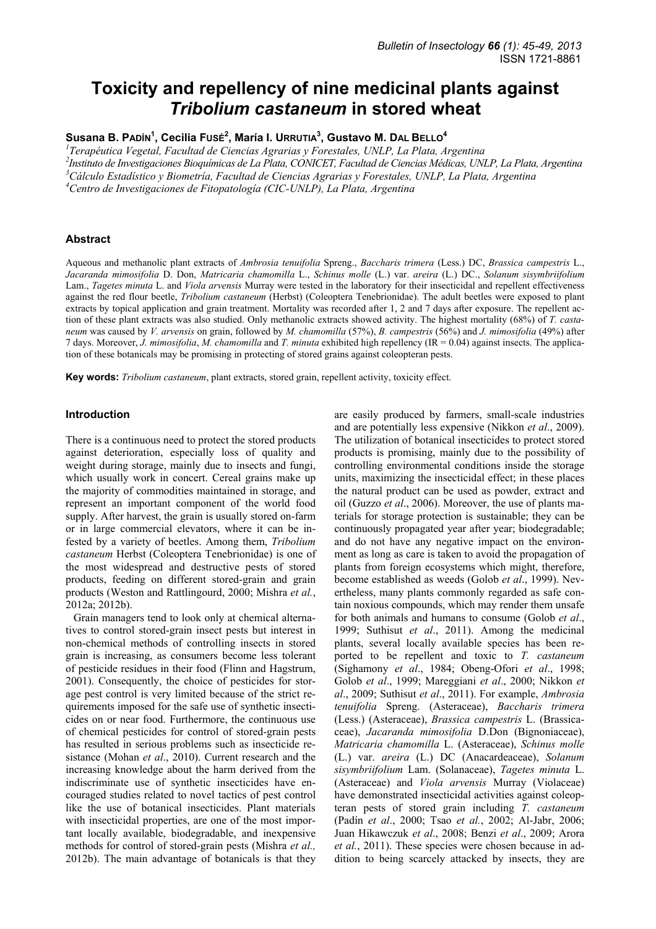# **Toxicity and repellency of nine medicinal plants against**  *Tribolium castaneum* **in stored wheat**

**Susana B. PADÍN1 , Cecilia FUSÉ<sup>2</sup> , María I. URRUTIA3 , Gustavo M. DAL BELLO4**

*1 Terapéutica Vegetal, Facultad de Ciencias Agrarias y Forestales, UNLP, La Plata, Argentina* 

*2 Instituto de Investigaciones Bioquímicas de La Plata, CONICET, Facultad de Ciencias Médicas, UNLP, La Plata, Argentina 3 Cálculo Estadístico y Biometría, Facultad de Ciencias Agrarias y Forestales, UNLP, La Plata, Argentina* 

*4 Centro de Investigaciones de Fitopatología (CIC-UNLP), La Plata, Argentina* 

#### **Abstract**

Aqueous and methanolic plant extracts of *Ambrosia tenuifolia* Spreng., *Baccharis trimera* (Less.) DC, *Brassica campestris* L., *Jacaranda mimosifolia* D. Don, *Matricaria chamomilla* L., *Schinus molle* (L.) var. *areira* (L.) DC., *Solanum sisymbriifolium* Lam., *Tagetes minuta* L. and *Viola arvensis* Murray were tested in the laboratory for their insecticidal and repellent effectiveness against the red flour beetle, *Tribolium castaneum* (Herbst) (Coleoptera Tenebrionidae). The adult beetles were exposed to plant extracts by topical application and grain treatment. Mortality was recorded after 1, 2 and 7 days after exposure. The repellent action of these plant extracts was also studied. Only methanolic extracts showed activity. The highest mortality (68%) of *T. castaneum* was caused by *V. arvensis* on grain, followed by *M. chamomilla* (57%), *B. campestris* (56%) and *J. mimosifolia* (49%) after 7 days. Moreover, *J. mimosifolia*, *M. chamomilla* and *T. minuta* exhibited high repellency (IR = 0.04) against insects. The application of these botanicals may be promising in protecting of stored grains against coleopteran pests.

**Key words:** *Tribolium castaneum*, plant extracts, stored grain, repellent activity, toxicity effect.

#### **Introduction**

There is a continuous need to protect the stored products against deterioration, especially loss of quality and weight during storage, mainly due to insects and fungi, which usually work in concert. Cereal grains make up the majority of commodities maintained in storage, and represent an important component of the world food supply. After harvest, the grain is usually stored on-farm or in large commercial elevators, where it can be infested by a variety of beetles. Among them, *Tribolium castaneum* Herbst (Coleoptera Tenebrionidae) is one of the most widespread and destructive pests of stored products, feeding on different stored-grain and grain products (Weston and Rattlingourd, 2000; Mishra *et al.*, 2012a; 2012b).

Grain managers tend to look only at chemical alternatives to control stored-grain insect pests but interest in non-chemical methods of controlling insects in stored grain is increasing, as consumers become less tolerant of pesticide residues in their food (Flinn and Hagstrum, 2001). Consequently, the choice of pesticides for storage pest control is very limited because of the strict requirements imposed for the safe use of synthetic insecticides on or near food. Furthermore, the continuous use of chemical pesticides for control of stored-grain pests has resulted in serious problems such as insecticide resistance (Mohan *et al*., 2010). Current research and the increasing knowledge about the harm derived from the indiscriminate use of synthetic insecticides have encouraged studies related to novel tactics of pest control like the use of botanical insecticides. Plant materials with insecticidal properties, are one of the most important locally available, biodegradable, and inexpensive methods for control of stored-grain pests (Mishra *et al.,*  2012b). The main advantage of botanicals is that they

are easily produced by farmers, small-scale industries and are potentially less expensive (Nikkon *et al*., 2009). The utilization of botanical insecticides to protect stored products is promising, mainly due to the possibility of controlling environmental conditions inside the storage units, maximizing the insecticidal effect; in these places the natural product can be used as powder, extract and oil (Guzzo *et al*., 2006). Moreover, the use of plants materials for storage protection is sustainable; they can be continuously propagated year after year; biodegradable; and do not have any negative impact on the environment as long as care is taken to avoid the propagation of plants from foreign ecosystems which might, therefore, become established as weeds (Golob *et al*., 1999). Nevertheless, many plants commonly regarded as safe contain noxious compounds, which may render them unsafe for both animals and humans to consume (Golob *et al*., 1999; Suthisut *et al*., 2011). Among the medicinal plants, several locally available species has been reported to be repellent and toxic to *T. castaneum* (Sighamony *et al*., 1984; Obeng-Ofori *et al*., 1998; Golob *et al*., 1999; Mareggiani *et al*., 2000; Nikkon *et al*., 2009; Suthisut *et al*., 2011). For example, *Ambrosia tenuifolia* Spreng. (Asteraceae), *Baccharis trimera* (Less.) (Asteraceae), *Brassica campestris* L. (Brassicaceae), *Jacaranda mimosifolia* D.Don (Bignoniaceae), *Matricaria chamomilla* L. (Asteraceae), *Schinus molle* (L.) var. *areira* (L.) DC (Anacardeaceae), *Solanum sisymbriifolium* Lam. (Solanaceae), *Tagetes minuta* L. (Asteraceae) and *Viola arvensis* Murray (Violaceae) have demonstrated insecticidal activities against coleopteran pests of stored grain including *T. castaneum* (Padín *et al*., 2000; Tsao *et al.*, 2002; Al-Jabr, 2006; Juan Hikawczuk *et al*., 2008; Benzi *et al*., 2009; Arora *et al.*, 2011). These species were chosen because in addition to being scarcely attacked by insects, they are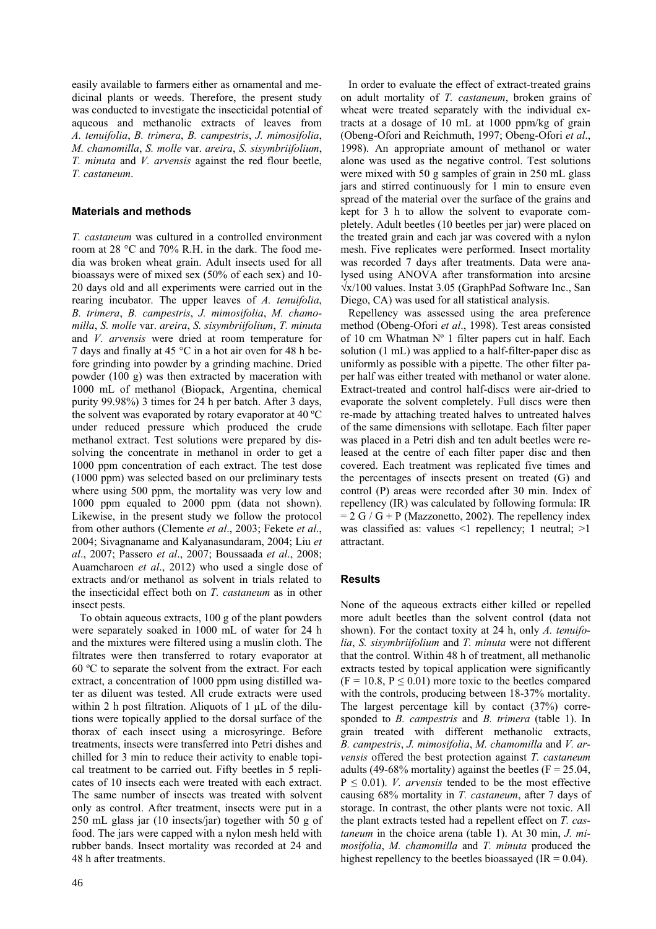easily available to farmers either as ornamental and medicinal plants or weeds. Therefore, the present study was conducted to investigate the insecticidal potential of aqueous and methanolic extracts of leaves from *A. tenuifolia*, *B. trimera*, *B. campestris*, *J. mimosifolia*, *M. chamomilla*, *S. molle* var. *areira*, *S. sisymbriifolium*, *T. minuta* and *V. arvensis* against the red flour beetle, *T. castaneum*.

### **Materials and methods**

*T. castaneum* was cultured in a controlled environment room at 28 °C and 70% R.H. in the dark. The food media was broken wheat grain. Adult insects used for all bioassays were of mixed sex (50% of each sex) and 10- 20 days old and all experiments were carried out in the rearing incubator. The upper leaves of *A. tenuifolia*, *B. trimera*, *B. campestris*, *J. mimosifolia*, *M. chamomilla*, *S. molle* var. *areira*, *S. sisymbriifolium*, *T. minuta* and *V. arvensis* were dried at room temperature for 7 days and finally at 45 °C in a hot air oven for 48 h before grinding into powder by a grinding machine. Dried powder (100 g) was then extracted by maceration with 1000 mL of methanol (Biopack, Argentina, chemical purity 99.98%) 3 times for 24 h per batch. After 3 days, the solvent was evaporated by rotary evaporator at 40 ºC under reduced pressure which produced the crude methanol extract. Test solutions were prepared by dissolving the concentrate in methanol in order to get a 1000 ppm concentration of each extract. The test dose (1000 ppm) was selected based on our preliminary tests where using 500 ppm, the mortality was very low and 1000 ppm equaled to 2000 ppm (data not shown). Likewise, in the present study we follow the protocol from other authors (Clemente *et al*., 2003; Fekete *et al*., 2004; Sivagnaname and Kalyanasundaram, 2004; Liu *et al*., 2007; Passero *et al*., 2007; Boussaada *et al*., 2008; Auamcharoen *et al*., 2012) who used a single dose of extracts and/or methanol as solvent in trials related to the insecticidal effect both on *T. castaneum* as in other insect pests.

To obtain aqueous extracts, 100 g of the plant powders were separately soaked in 1000 mL of water for 24 h and the mixtures were filtered using a muslin cloth. The filtrates were then transferred to rotary evaporator at 60 ºC to separate the solvent from the extract. For each extract, a concentration of 1000 ppm using distilled water as diluent was tested. All crude extracts were used within 2 h post filtration. Aliquots of  $1 \mu L$  of the dilutions were topically applied to the dorsal surface of the thorax of each insect using a microsyringe. Before treatments, insects were transferred into Petri dishes and chilled for 3 min to reduce their activity to enable topical treatment to be carried out. Fifty beetles in 5 replicates of 10 insects each were treated with each extract. The same number of insects was treated with solvent only as control. After treatment, insects were put in a 250 mL glass jar (10 insects/jar) together with 50 g of food. The jars were capped with a nylon mesh held with rubber bands. Insect mortality was recorded at 24 and 48 h after treatments.

In order to evaluate the effect of extract-treated grains on adult mortality of *T. castaneum*, broken grains of wheat were treated separately with the individual extracts at a dosage of 10 mL at 1000 ppm/kg of grain (Obeng-Ofori and Reichmuth, 1997; Obeng-Ofori *et al*., 1998). An appropriate amount of methanol or water alone was used as the negative control. Test solutions were mixed with 50 g samples of grain in 250 mL glass jars and stirred continuously for 1 min to ensure even spread of the material over the surface of the grains and kept for 3 h to allow the solvent to evaporate completely. Adult beetles (10 beetles per jar) were placed on the treated grain and each jar was covered with a nylon mesh. Five replicates were performed. Insect mortality was recorded 7 days after treatments. Data were analysed using ANOVA after transformation into arcsine √x/100 values. Instat 3.05 (GraphPad Software Inc., San Diego, CA) was used for all statistical analysis.

Repellency was assessed using the area preference method (Obeng-Ofori *et al*., 1998). Test areas consisted of 10 cm Whatman Nº 1 filter papers cut in half. Each solution (1 mL) was applied to a half-filter-paper disc as uniformly as possible with a pipette. The other filter paper half was either treated with methanol or water alone. Extract-treated and control half-discs were air-dried to evaporate the solvent completely. Full discs were then re-made by attaching treated halves to untreated halves of the same dimensions with sellotape. Each filter paper was placed in a Petri dish and ten adult beetles were released at the centre of each filter paper disc and then covered. Each treatment was replicated five times and the percentages of insects present on treated (G) and control (P) areas were recorded after 30 min. Index of repellency (IR) was calculated by following formula: IR  $= 2$  G / G + P (Mazzonetto, 2002). The repellency index was classified as: values  $\leq 1$  repellency; 1 neutral;  $\geq 1$ attractant.

## **Results**

None of the aqueous extracts either killed or repelled more adult beetles than the solvent control (data not shown). For the contact toxity at 24 h, only *A. tenuifolia*, *S. sisymbriifolium* and *T. minuta* were not different that the control. Within 48 h of treatment, all methanolic extracts tested by topical application were significantly  $(F = 10.8, P \le 0.01)$  more toxic to the beetles compared with the controls, producing between 18-37% mortality. The largest percentage kill by contact (37%) corresponded to *B. campestris* and *B. trimera* (table 1). In grain treated with different methanolic extracts, *B. campestris*, *J. mimosifolia*, *M. chamomilla* and *V. arvensis* offered the best protection against *T. castaneum* adults (49-68% mortality) against the beetles ( $F = 25.04$ ,  $P \leq 0.01$ ). *V. arvensis* tended to be the most effective causing 68% mortality in *T. castaneum*, after 7 days of storage. In contrast, the other plants were not toxic. All the plant extracts tested had a repellent effect on *T. castaneum* in the choice arena (table 1). At 30 min, *J. mimosifolia*, *M. chamomilla* and *T. minuta* produced the highest repellency to the beetles bioassayed ( $IR = 0.04$ ).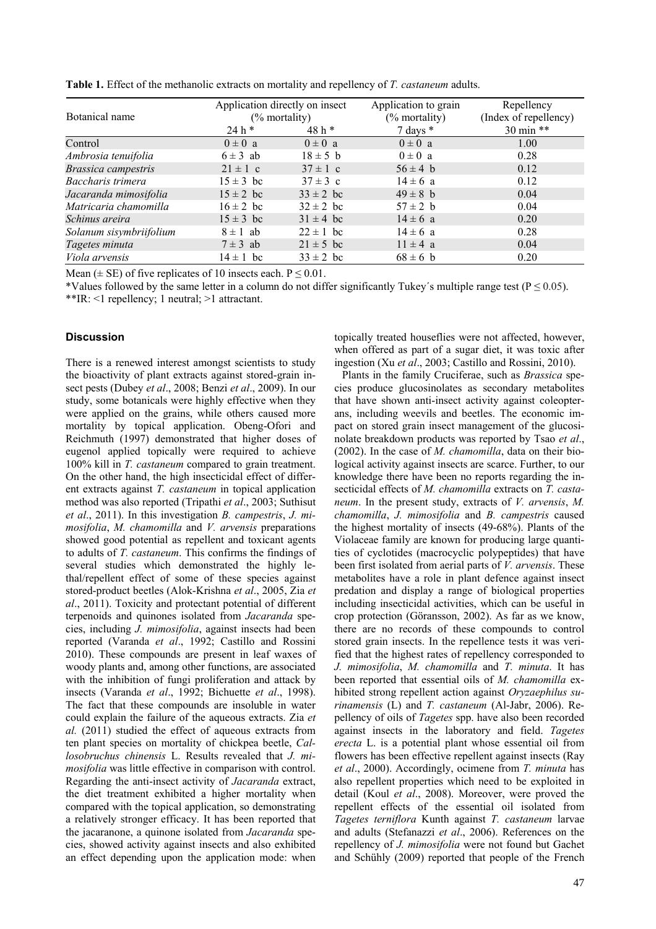| Botanical name          | Application directly on insect<br>$(\%$ mortality) |               | Application to grain | Repellency            |
|-------------------------|----------------------------------------------------|---------------|----------------------|-----------------------|
|                         |                                                    |               | $(\%$ mortality)     | (Index of repellency) |
|                         | $24 h*$                                            | $48h*$        | 7 days $*$           | 30 min **             |
| Control                 | $0 \pm 0$ a                                        | $0 \pm 0$ a   | $0 \pm 0$ a          | 1.00                  |
| Ambrosia tenuifolia     | $6 \pm 3$ ab                                       | $18 \pm 5$ b  | $0 \pm 0$ a          | 0.28                  |
| Brassica campestris     | $21 \pm 1$ c                                       | $37 \pm 1$ c  | $56 \pm 4$ b         | 0.12                  |
| Baccharis trimera       | $15 \pm 3$ bc                                      | $37 \pm 3$ c  | $14 \pm 6$ a         | 0.12                  |
| Jacaranda mimosifolia   | $15 \pm 2$ bc                                      | $33 \pm 2$ bc | $49 \pm 8$ b         | 0.04                  |
| Matricaria chamomilla   | $16 \pm 2$ bc                                      | $32 \pm 2$ bc | $57 \pm 2$ b         | 0.04                  |
| Schinus areira          | $15 \pm 3$ bc                                      | $31 \pm 4$ bc | $14 \pm 6$ a         | 0.20                  |
| Solanum sisymbriifolium | $8 \pm 1$ ab                                       | $22 \pm 1$ bc | $14 \pm 6$ a         | 0.28                  |
| Tagetes minuta          | $7 \pm 3$ ab                                       | $21 \pm 5$ bc | $11 \pm 4$ a         | 0.04                  |
| <i>Viola arvensis</i>   | $14 \pm 1$ bc                                      | $33 \pm 2$ bc | $68 \pm 6$ b         | 0.20                  |

**Table 1.** Effect of the methanolic extracts on mortality and repellency of *T. castaneum* adults.

Mean ( $\pm$  SE) of five replicates of 10 insects each. P  $\leq$  0.01.

\*Values followed by the same letter in a column do not differ significantly Tukey's multiple range test ( $P \le 0.05$ ). \*\*IR: <1 repellency; 1 neutral; >1 attractant.

#### **Discussion**

There is a renewed interest amongst scientists to study the bioactivity of plant extracts against stored-grain insect pests (Dubey *et al*., 2008; Benzi *et al*., 2009). In our study, some botanicals were highly effective when they were applied on the grains, while others caused more mortality by topical application. Obeng-Ofori and Reichmuth (1997) demonstrated that higher doses of eugenol applied topically were required to achieve 100% kill in *T. castaneum* compared to grain treatment. On the other hand, the high insecticidal effect of different extracts against *T. castaneum* in topical application method was also reported (Tripathi *et al*., 2003; Suthisut *et al*., 2011). In this investigation *B. campestris*, *J. mimosifolia*, *M. chamomilla* and *V. arvensis* preparations showed good potential as repellent and toxicant agents to adults of *T. castaneum*. This confirms the findings of several studies which demonstrated the highly lethal/repellent effect of some of these species against stored-product beetles (Alok-Krishna *et al*., 2005, Zia *et al*., 2011). Toxicity and protectant potential of different terpenoids and quinones isolated from *Jacaranda* species, including *J. mimosifolia*, against insects had been reported (Varanda *et al*., 1992; Castillo and Rossini 2010). These compounds are present in leaf waxes of woody plants and, among other functions, are associated with the inhibition of fungi proliferation and attack by insects (Varanda *et al*., 1992; Bichuette *et al*., 1998). The fact that these compounds are insoluble in water could explain the failure of the aqueous extracts. Zia *et al.* (2011) studied the effect of aqueous extracts from ten plant species on mortality of chickpea beetle, *Callosobruchus chinensis* L. Results revealed that *J. mimosifolia* was little effective in comparison with control. Regarding the anti-insect activity of *Jacaranda* extract, the diet treatment exhibited a higher mortality when compared with the topical application, so demonstrating a relatively stronger efficacy. It has been reported that the jacaranone, a quinone isolated from *Jacaranda* species, showed activity against insects and also exhibited an effect depending upon the application mode: when topically treated houseflies were not affected, however, when offered as part of a sugar diet, it was toxic after ingestion (Xu *et al*., 2003; Castillo and Rossini, 2010).

Plants in the family Cruciferae, such as *Brassica* species produce glucosinolates as secondary metabolites that have shown anti-insect activity against coleopterans, including weevils and beetles. The economic impact on stored grain insect management of the glucosinolate breakdown products was reported by Tsao *et al*., (2002). In the case of *M. chamomilla*, data on their biological activity against insects are scarce. Further, to our knowledge there have been no reports regarding the insecticidal effects of *M. chamomilla* extracts on *T. castaneum*. In the present study, extracts of *V. arvensis*, *M. chamomilla*, *J. mimosifolia* and *B. campestris* caused the highest mortality of insects (49-68%). Plants of the Violaceae family are known for producing large quantities of cyclotides (macrocyclic polypeptides) that have been first isolated from aerial parts of *V. arvensis*. These metabolites have a role in plant defence against insect predation and display a range of biological properties including insecticidal activities, which can be useful in crop protection (Göransson, 2002). As far as we know, there are no records of these compounds to control stored grain insects. In the repellence tests it was verified that the highest rates of repellency corresponded to *J. mimosifolia*, *M. chamomilla* and *T. minuta*. It has been reported that essential oils of *M. chamomilla* exhibited strong repellent action against *Oryzaephilus surinamensis* (L) and *T. castaneum* (Al-Jabr, 2006). Repellency of oils of *Tagetes* spp. have also been recorded against insects in the laboratory and field. *Tagetes erecta* L. is a potential plant whose essential oil from flowers has been effective repellent against insects (Ray *et al*., 2000). Accordingly, ocimene from *T. minuta* has also repellent properties which need to be exploited in detail (Koul *et al*., 2008). Moreover, were proved the repellent effects of the essential oil isolated from *Tagetes terniflora* Kunth against *T. castaneum* larvae and adults (Stefanazzi *et al*., 2006). References on the repellency of *J. mimosifolia* were not found but Gachet and Schühly (2009) reported that people of the French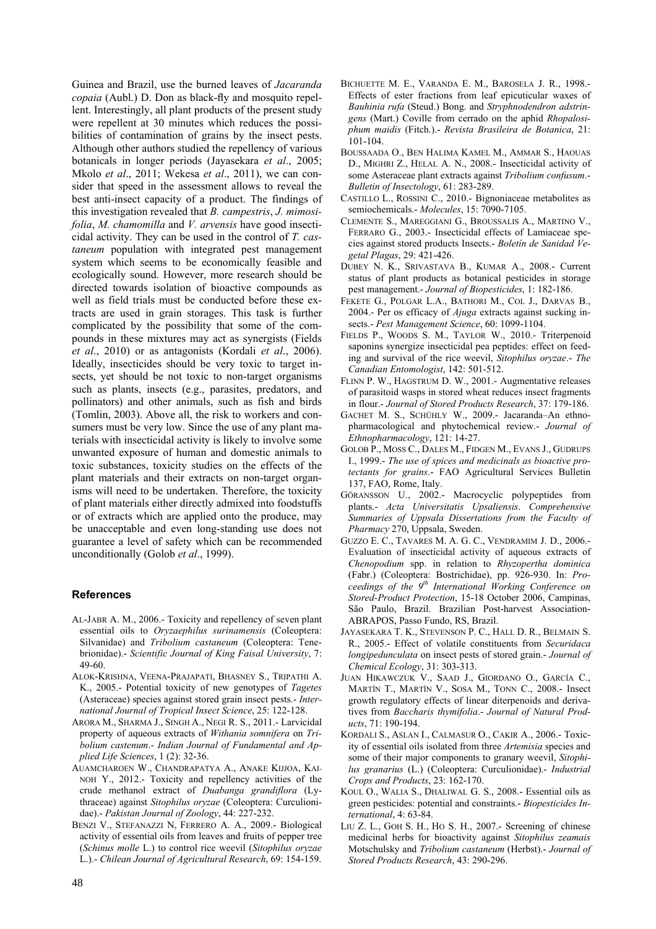Guinea and Brazil, use the burned leaves of *Jacaranda copaia* (Aubl.) D. Don as black-fly and mosquito repellent. Interestingly, all plant products of the present study were repellent at 30 minutes which reduces the possibilities of contamination of grains by the insect pests. Although other authors studied the repellency of various botanicals in longer periods (Jayasekara *et al*., 2005; Mkolo *et al*., 2011; Wekesa *et al*., 2011), we can consider that speed in the assessment allows to reveal the best anti-insect capacity of a product. The findings of this investigation revealed that *B. campestris*, *J. mimosifolia*, *M. chamomilla* and *V. arvensis* have good insecticidal activity. They can be used in the control of *T. castaneum* population with integrated pest management system which seems to be economically feasible and ecologically sound. However, more research should be directed towards isolation of bioactive compounds as well as field trials must be conducted before these extracts are used in grain storages. This task is further complicated by the possibility that some of the compounds in these mixtures may act as synergists (Fields *et al*., 2010) or as antagonists (Kordali *et al*., 2006). Ideally, insecticides should be very toxic to target insects, yet should be not toxic to non-target organisms such as plants, insects (e.g., parasites, predators, and pollinators) and other animals, such as fish and birds (Tomlin, 2003). Above all, the risk to workers and consumers must be very low. Since the use of any plant materials with insecticidal activity is likely to involve some unwanted exposure of human and domestic animals to toxic substances, toxicity studies on the effects of the plant materials and their extracts on non-target organisms will need to be undertaken. Therefore, the toxicity of plant materials either directly admixed into foodstuffs or of extracts which are applied onto the produce, may be unacceptable and even long-standing use does not guarantee a level of safety which can be recommended unconditionally (Golob *et al*., 1999).

#### **References**

- AL-JABR A. M., 2006.- Toxicity and repellency of seven plant essential oils to *Oryzaephilus surinamensis* (Coleoptera: Silvanidae) and *Tribolium castaneum* (Coleoptera: Tenebrionidae).- *Scientific Journal of King Faisal University*, 7: 49-60.
- ALOK-KRISHNA, VEENA-PRAJAPATI, BHASNEY S., TRIPATHI A. K., 2005.- Potential toxicity of new genotypes of *Tagetes* (Asteraceae) species against stored grain insect pests.- *International Journal of Tropical Insect Science*, 25: 122-128.
- ARORA M., SHARMA J., SINGH A., NEGI R. S., 2011.- Larvicidal property of aqueous extracts of *Withania somnifera* on *Tribolium castenum*.- *Indian Journal of Fundamental and Applied Life Sciences*, 1 (2): 32-36.
- AUAMCHAROEN W., CHANDRAPATYA A., ANAKE KIJJOA, KAI-NOH Y., 2012.- Toxicity and repellency activities of the crude methanol extract of *Duabanga grandiflora* (Lythraceae) against *Sitophilus oryzae* (Coleoptera: Curculionidae).- *Pakistan Journal of Zoology*, 44: 227-232.
- BENZI V., STEFANAZZI N, FERRERO A. A., 2009.- Biological activity of essential oils from leaves and fruits of pepper tree (*Schinus molle* L.) to control rice weevil (*Sitophilus oryzae*  L.).- *Chilean Journal of Agricultural Research*, 69: 154-159.
- BICHUETTE M. E., VARANDA E. M., BAROSELA J. R., 1998.- Effects of ester fractions from leaf epicuticular waxes of *Bauhinia rufa* (Steud.) Bong. and *Stryphnodendron adstringens* (Mart.) Coville from cerrado on the aphid *Rhopalosiphum maidis* (Fitch.).- *Revista Brasileira de Botanica*, 21: 101-104.
- BOUSSAADA O., BEN HALIMA KAMEL M., AMMAR S., HAOUAS D., MIGHRI Z., HELAL A. N., 2008.- Insecticidal activity of some Asteraceae plant extracts against *Tribolium confusum*.- *Bulletin of Insectology*, 61: 283-289.
- CASTILLO L., ROSSINI C., 2010.- Bignoniaceae metabolites as semiochemicals.- *Molecules*, 15: 7090-7105.
- CLEMENTE S., MAREGGIANI G., BROUSSALIS A., MARTINO V., FERRARO G., 2003.- Insecticidal effects of Lamiaceae species against stored products Insects.- *Boletín de Sanidad Vegetal Plagas*, 29: 421-426.
- DUBEY N. K., SRIVASTAVA B., KUMAR A., 2008.- Current status of plant products as botanical pesticides in storage pest management.- *Journal of Biopesticides*, 1: 182-186.
- FEKETE G., POLGAR L.A., BATHORI M., COL J., DARVAS B., 2004.- Per os efficacy of *Ajuga* extracts against sucking insects.- *Pest Management Science*, 60: 1099-1104.
- FIELDS P., WOODS S. M., TAYLOR W., 2010.- Triterpenoid saponins synergize insecticidal pea peptides: effect on feeding and survival of the rice weevil, *Sitophilus oryzae*.- *The Canadian Entomologist*, 142: 501-512.
- FLINN P. W., HAGSTRUM D. W., 2001.- Augmentative releases of parasitoid wasps in stored wheat reduces insect fragments in flour.- *Journal of Stored Products Research*, 37: 179-186.
- GACHET M. S., SCHÜHLY W., 2009.- Jacaranda–An ethnopharmacological and phytochemical review.- *Journal of Ethnopharmacology*, 121: 14-27.
- GOLOB P., MOSS C., DALES M., FIDGEN M., EVANS J., GUDRUPS I., 1999.- *The use of spices and medicinals as bioactive protectants for grains*.- FAO Agricultural Services Bulletin 137, FAO, Rome, Italy.
- GÖRANSSON U., 2002.- Macrocyclic polypeptides from plants.- *Acta Universitatis Upsaliensis*. *Comprehensive Summaries of Uppsala Dissertations from the Faculty of Pharmacy* 270, Uppsala, Sweden.
- GUZZO E. C., TAVARES M. A. G. C., VENDRAMIM J. D., 2006.- Evaluation of insecticidal activity of aqueous extracts of *Chenopodium* spp. in relation to *Rhyzopertha dominica* (Fabr.) (Coleoptera: Bostrichidae), pp. 926-930. In: *Proceedings of the 9th International Working Conference on Stored-Product Protection*, 15-18 October 2006, Campinas, São Paulo, Brazil. Brazilian Post-harvest Association-ABRAPOS, Passo Fundo, RS, Brazil.
- JAYASEKARA T. K., STEVENSON P. C., HALL D. R., BELMAIN S. R., 2005.- Effect of volatile constituents from *Securidaca longipedunculata* on insect pests of stored grain.- *Journal of Chemical Ecology*, 31: 303-313.
- JUAN HIKAWCZUK V., SAAD J., GIORDANO O., GARCÍA C., MARTÍN T., MARTÍN V., SOSA M., TONN C., 2008.- Insect growth regulatory effects of linear diterpenoids and derivatives from *Baccharis thymifolia*.- *Journal of Natural Products*, 71: 190-194.
- KORDALI S., ASLAN I., CALMASUR O., CAKIR A., 2006.- Toxicity of essential oils isolated from three *Artemisia* species and some of their major components to granary weevil, *Sitophilus granarius* (L.) (Coleoptera: Curculionidae).- *Industrial Crops and Products*, 23: 162-170.
- KOUL O., WALIA S., DHALIWAL G. S., 2008.- Essential oils as green pesticides: potential and constraints.- *Biopesticides International*, 4: 63-84.
- LIU Z. L., GOH S. H., HO S. H., 2007.- Screening of chinese medicinal herbs for bioactivity against *Sitophilus zeamais* Motschulsky and *Tribolium castaneum* (Herbst).- *Journal of Stored Products Research*, 43: 290-296.